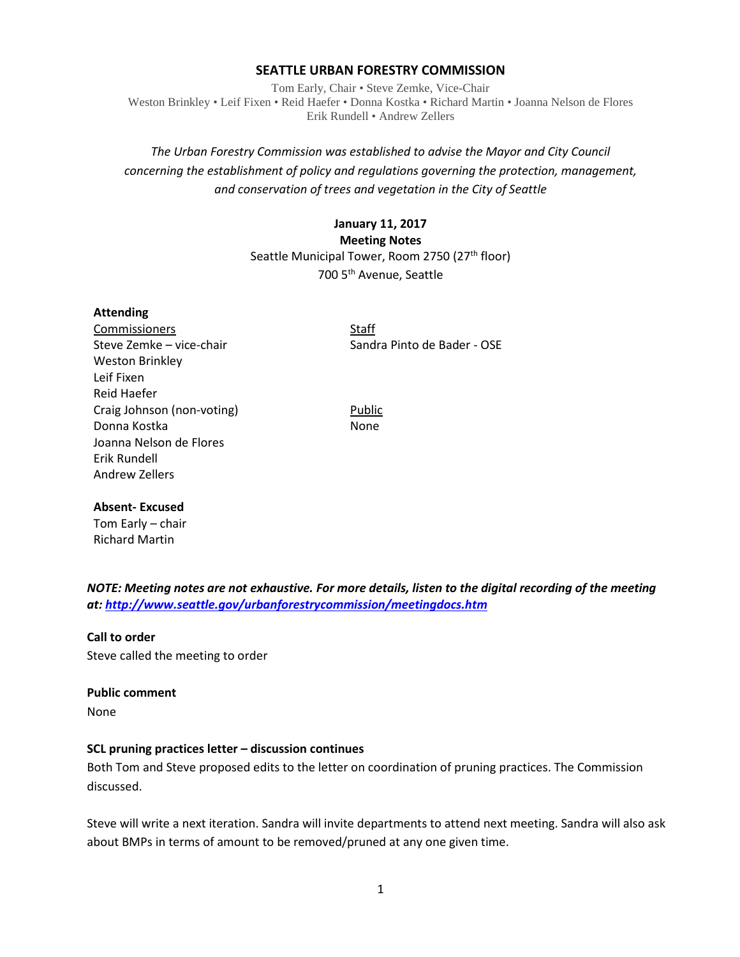### **SEATTLE URBAN FORESTRY COMMISSION**

Tom Early, Chair • Steve Zemke, Vice-Chair Weston Brinkley • Leif Fixen • Reid Haefer • Donna Kostka • Richard Martin • Joanna Nelson de Flores Erik Rundell • Andrew Zellers

# *The Urban Forestry Commission was established to advise the Mayor and City Council concerning the establishment of policy and regulations governing the protection, management, and conservation of trees and vegetation in the City of Seattle*

# **January 11, 2017 Meeting Notes** Seattle Municipal Tower, Room 2750 (27<sup>th</sup> floor) 700 5th Avenue, Seattle

#### **Attending**

Commissioners Staff Weston Brinkley Leif Fixen Reid Haefer Craig Johnson (non-voting) Public Donna Kostka None Joanna Nelson de Flores Erik Rundell Andrew Zellers

Steve Zemke – vice-chair Sandra Pinto de Bader - OSE

#### **Absent- Excused**

Tom Early – chair Richard Martin

*NOTE: Meeting notes are not exhaustive. For more details, listen to the digital recording of the meeting at:<http://www.seattle.gov/urbanforestrycommission/meetingdocs.htm>*

## **Call to order**

Steve called the meeting to order

#### **Public comment**

None

#### **SCL pruning practices letter – discussion continues**

Both Tom and Steve proposed edits to the letter on coordination of pruning practices. The Commission discussed.

Steve will write a next iteration. Sandra will invite departments to attend next meeting. Sandra will also ask about BMPs in terms of amount to be removed/pruned at any one given time.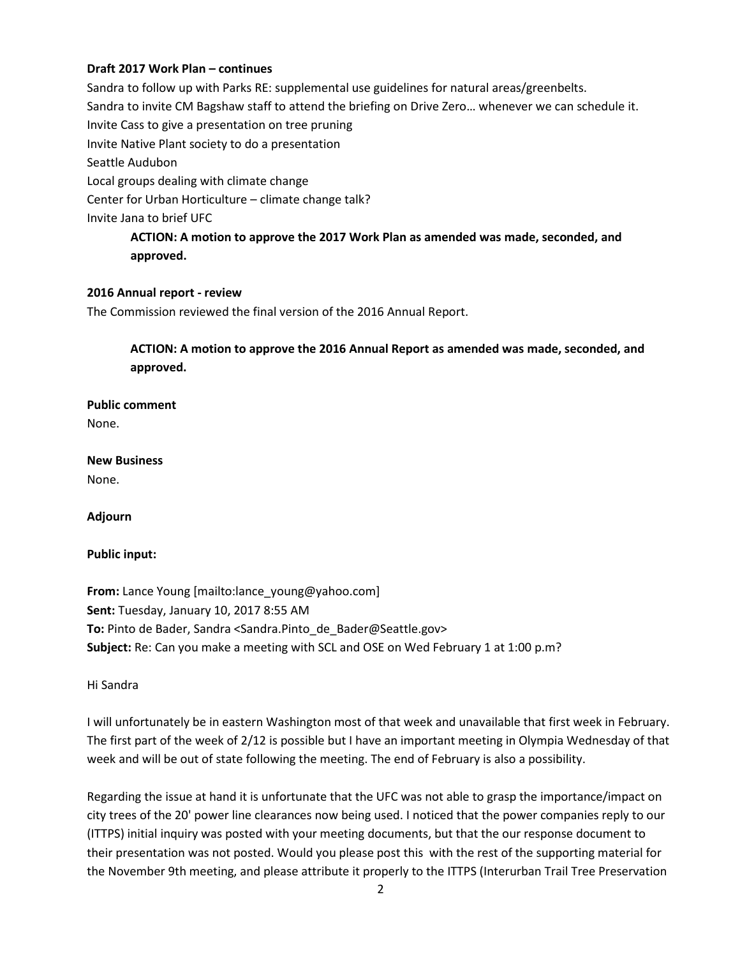## **Draft 2017 Work Plan – continues**

Sandra to follow up with Parks RE: supplemental use guidelines for natural areas/greenbelts. Sandra to invite CM Bagshaw staff to attend the briefing on Drive Zero… whenever we can schedule it. Invite Cass to give a presentation on tree pruning Invite Native Plant society to do a presentation Seattle Audubon Local groups dealing with climate change Center for Urban Horticulture – climate change talk? Invite Jana to brief UFC **ACTION: A motion to approve the 2017 Work Plan as amended was made, seconded, and** 

**approved.**

## **2016 Annual report - review**

The Commission reviewed the final version of the 2016 Annual Report.

**ACTION: A motion to approve the 2016 Annual Report as amended was made, seconded, and approved.**

**Public comment** None.

**New Business**

None.

**Adjourn**

## **Public input:**

**From:** Lance Young [mailto:lance\_young@yahoo.com] **Sent:** Tuesday, January 10, 2017 8:55 AM **To:** Pinto de Bader, Sandra <Sandra.Pinto de Bader@Seattle.gov> **Subject:** Re: Can you make a meeting with SCL and OSE on Wed February 1 at 1:00 p.m?

Hi Sandra

I will unfortunately be in eastern Washington most of that week and unavailable that first week in February. The first part of the week of 2/12 is possible but I have an important meeting in Olympia Wednesday of that week and will be out of state following the meeting. The end of February is also a possibility.

Regarding the issue at hand it is unfortunate that the UFC was not able to grasp the importance/impact on city trees of the 20' power line clearances now being used. I noticed that the power companies reply to our (ITTPS) initial inquiry was posted with your meeting documents, but that the our response document to their presentation was not posted. Would you please post this with the rest of the supporting material for the November 9th meeting, and please attribute it properly to the ITTPS (Interurban Trail Tree Preservation